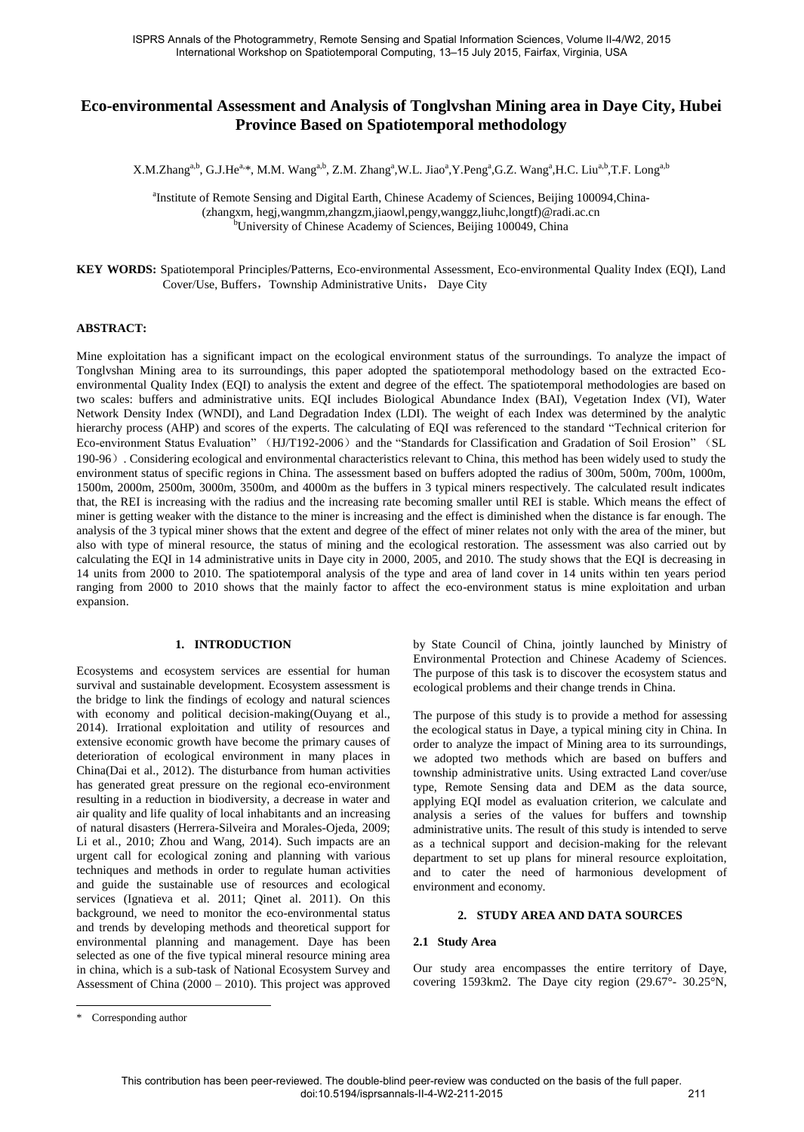# **Eco-environmental Assessment and Analysis of Tonglvshan Mining area in Daye City, Hubei Province Based on Spatiotemporal methodology**

X.M.Zhang<sup>a,b</sup>, G.J.He<sup>a,\*</sup>, M.M. Wang<sup>a,b</sup>, Z.M. Zhang<sup>a</sup>,W.L. Jiao<sup>a</sup>,Y.Peng<sup>a</sup>,G.Z. Wang<sup>a</sup>,H.C. Liu<sup>a,b</sup>,T.F. Long<sup>a,b</sup>

<sup>a</sup>Institute of Remote Sensing and Digital Earth, Chinese Academy of Sciences, Beijing 100094, China-(zhangxm, hegj,wangmm,zhangzm,jiaowl,pengy,wanggz,liuhc,longtf)@radi.ac.cn <sup>b</sup>University of Chinese Academy of Sciences, Beijing 100049, China

**KEY WORDS:** Spatiotemporal Principles/Patterns, Eco-environmental Assessment, Eco-environmental Quality Index (EQI), Land Cover/Use, Buffers, Township Administrative Units, Daye City

### **ABSTRACT:**

Mine exploitation has a significant impact on the ecological environment status of the surroundings. To analyze the impact of Tonglvshan Mining area to its surroundings, this paper adopted the spatiotemporal methodology based on the extracted Ecoenvironmental Quality Index (EQI) to analysis the extent and degree of the effect. The spatiotemporal methodologies are based on two scales: buffers and administrative units. EQI includes Biological Abundance Index (BAI), Vegetation Index (VI), Water Network Density Index (WNDI), and Land Degradation Index (LDI). The weight of each Index was determined by the analytic hierarchy process (AHP) and scores of the experts. The calculating of EQI was referenced to the standard "Technical criterion for Eco-environment Status Evaluation" (HJ/T192-2006) and the "Standards for Classification and Gradation of Soil Erosion" (SL 190-96). Considering ecological and environmental characteristics relevant to China, this method has been widely used to study the environment status of specific regions in China. The assessment based on buffers adopted the radius of 300m, 500m, 700m, 1000m, 1500m, 2000m, 2500m, 3000m, 3500m, and 4000m as the buffers in 3 typical miners respectively. The calculated result indicates that, the REI is increasing with the radius and the increasing rate becoming smaller until REI is stable. Which means the effect of miner is getting weaker with the distance to the miner is increasing and the effect is diminished when the distance is far enough. The analysis of the 3 typical miner shows that the extent and degree of the effect of miner relates not only with the area of the miner, but also with type of mineral resource, the status of mining and the ecological restoration. The assessment was also carried out by calculating the EQI in 14 administrative units in Daye city in 2000, 2005, and 2010. The study shows that the EQI is decreasing in 14 units from 2000 to 2010. The spatiotemporal analysis of the type and area of land cover in 14 units within ten years period ranging from 2000 to 2010 shows that the mainly factor to affect the eco-environment status is mine exploitation and urban expansion.

#### **1. INTRODUCTION**

Ecosystems and ecosystem services are essential for human survival and sustainable development. Ecosystem assessment is the bridge to link the findings of ecology and natural sciences with economy and political decision-making(Ouyang et al., 2014). Irrational exploitation and utility of resources and extensive economic growth have become the primary causes of deterioration of ecological environment in many places in China(Dai et al., 2012). The disturbance from human activities has generated great pressure on the regional eco-environment resulting in a reduction in biodiversity, a decrease in water and air quality and life quality of local inhabitants and an increasing of natural disasters (Herrera-Silveira and Morales-Ojeda, 2009; Li et al., 2010; Zhou and Wang, 2014). Such impacts are an urgent call for ecological zoning and planning with various techniques and methods in order to regulate human activities and guide the sustainable use of resources and ecological services (Ignatieva et al. 2011; Qinet al. 2011). On this background, we need to monitor the eco-environmental status and trends by developing methods and theoretical support for environmental planning and management. Daye has been selected as one of the five typical mineral resource mining area in china, which is a sub-task of National Ecosystem Survey and Assessment of China (2000 – 2010). This project was approved

by State Council of China, jointly launched by Ministry of Environmental Protection and Chinese Academy of Sciences. The purpose of this task is to discover the ecosystem status and ecological problems and their change trends in China.

The purpose of this study is to provide a method for assessing the ecological status in Daye, a typical mining city in China. In order to analyze the impact of Mining area to its surroundings, we adopted two methods which are based on buffers and township administrative units. Using extracted Land cover/use type, Remote Sensing data and DEM as the data source, applying EQI model as evaluation criterion, we calculate and analysis a series of the values for buffers and township administrative units. The result of this study is intended to serve as a technical support and decision-making for the relevant department to set up plans for mineral resource exploitation, and to cater the need of harmonious development of environment and economy.

### **2. STUDY AREA AND DATA SOURCES**

#### **2.1 Study Area**

Our study area encompasses the entire territory of Daye, covering 1593km2. The Daye city region (29.67°- 30.25°N,

 $\overline{a}$ 

<sup>\*</sup> Corresponding author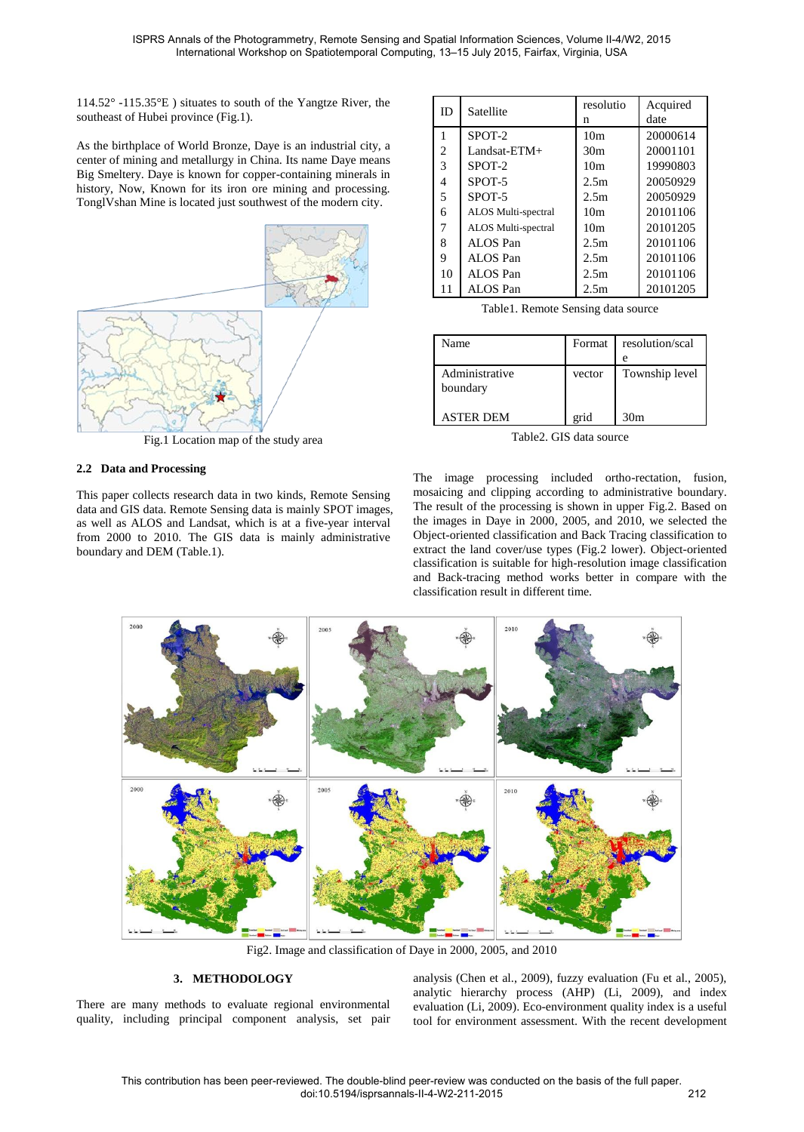114.52° -115.35°E ) situates to south of the Yangtze River, the southeast of Hubei province (Fig.1).

As the birthplace of World Bronze, Daye is an industrial city, a center of mining and metallurgy in China. Its name Daye means Big Smeltery. Daye is known for copper-containing minerals in history, Now, Known for its iron ore mining and processing. TonglVshan Mine is located just southwest of the modern city.



Fig.1 Location map of the study area

## **2.2 Data and Processing**

This paper collects research data in two kinds, Remote Sensing data and GIS data. Remote Sensing data is mainly SPOT images, as well as ALOS and Landsat, which is at a five-year interval from 2000 to 2010. The GIS data is mainly administrative boundary and DEM (Table.1).

| ID             | Satellite           | resolutio       | Acquired |
|----------------|---------------------|-----------------|----------|
|                |                     | n               | date     |
|                | SPOT-2              | 10 <sub>m</sub> | 20000614 |
| 2              | Landsat- $ETM+$     | 30 <sub>m</sub> | 20001101 |
| 3              | SPOT-2              | 10 <sub>m</sub> | 19990803 |
| 4              | SPOT-5              | 2.5m            | 20050929 |
| $\overline{5}$ | SPOT-5              | 2.5m            | 20050929 |
| 6              | ALOS Multi-spectral | 10 <sub>m</sub> | 20101106 |
| 7              | ALOS Multi-spectral | 10 <sub>m</sub> | 20101205 |
| 8              | ALOS Pan            | 2.5m            | 20101106 |
| 9              | ALOS Pan            | 2.5m            | 20101106 |
| 10             | ALOS Pan            | 2.5m            | 20101106 |
| 11             | ALOS Pan            | 2.5m            | 20101205 |

Table1. Remote Sensing data source

| Name                       | Format | resolution/scal |
|----------------------------|--------|-----------------|
|                            |        | e               |
| Administrative<br>boundary | vector | Township level  |
| ASTER DEM                  | grid   | 30 <sub>m</sub> |

Table2. GIS data source

The image processing included ortho-rectation, fusion, mosaicing and clipping according to administrative boundary. The result of the processing is shown in upper Fig.2. Based on the images in Daye in 2000, 2005, and 2010, we selected the Object-oriented classification and Back Tracing classification to extract the land cover/use types (Fig.2 lower). Object-oriented classification is suitable for high-resolution image classification and Back-tracing method works better in compare with the classification result in different time.



Fig2. Image and classification of Daye in 2000, 2005, and 2010

# **3. METHODOLOGY**

There are many methods to evaluate regional environmental quality, including principal component analysis, set pair analysis (Chen et al., 2009), fuzzy evaluation (Fu et al., 2005), analytic hierarchy process (AHP) (Li, 2009), and index evaluation (Li, 2009). Eco-environment quality index is a useful tool for environment assessment. With the recent development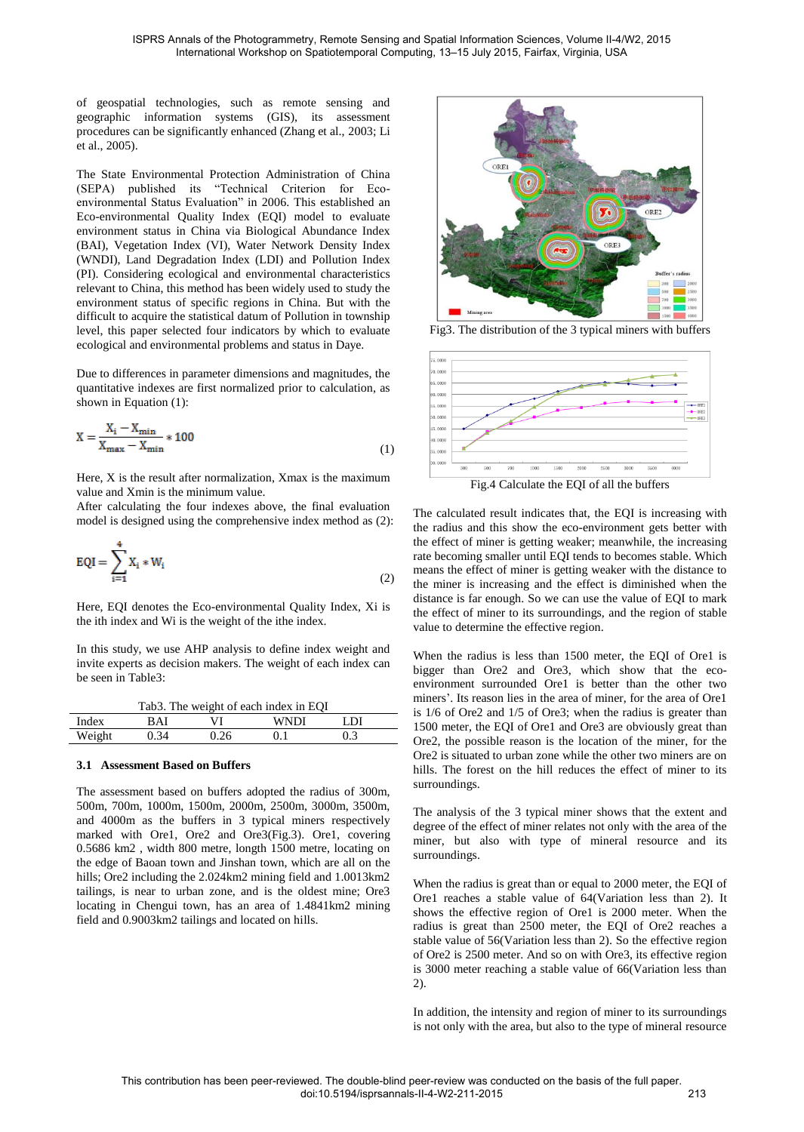of geospatial technologies, such as remote sensing and geographic information systems (GIS), its assessment procedures can be significantly enhanced (Zhang et al., 2003; Li et al., 2005).

The State Environmental Protection Administration of China (SEPA) published its "Technical Criterion for Ecoenvironmental Status Evaluation" in 2006. This established an Eco-environmental Quality Index (EQI) model to evaluate environment status in China via Biological Abundance Index (BAI), Vegetation Index (VI), Water Network Density Index (WNDI), Land Degradation Index (LDI) and Pollution Index (PI). Considering ecological and environmental characteristics relevant to China, this method has been widely used to study the environment status of specific regions in China. But with the difficult to acquire the statistical datum of Pollution in township level, this paper selected four indicators by which to evaluate ecological and environmental problems and status in Daye.

Due to differences in parameter dimensions and magnitudes, the quantitative indexes are first normalized prior to calculation, as shown in Equation (1):

$$
X = \frac{X_i - X_{\min}}{X_{\max} - X_{\min}} * 100
$$
 (1)

Here, X is the result after normalization, Xmax is the maximum value and Xmin is the minimum value.

After calculating the four indexes above, the final evaluation model is designed using the comprehensive index method as (2):

$$
EQI = \sum_{i=1}^{4} X_i * W_i
$$
 (2)

Here, EQI denotes the Eco-environmental Quality Index, Xi is the ith index and Wi is the weight of the ithe index.

In this study, we use AHP analysis to define index weight and invite experts as decision makers. The weight of each index can be seen in Table3:

| Tab3. The weight of each index in EQI |  |  |  |  |
|---------------------------------------|--|--|--|--|
|---------------------------------------|--|--|--|--|

| Index                | JΙ | <b>ANDI</b> | DΤ  |  |
|----------------------|----|-------------|-----|--|
| $W$ eicht<br>110.511 |    |             | ∪.∟ |  |
|                      |    |             |     |  |

### **3.1 Assessment Based on Buffers**

The assessment based on buffers adopted the radius of 300m, 500m, 700m, 1000m, 1500m, 2000m, 2500m, 3000m, 3500m, and 4000m as the buffers in 3 typical miners respectively marked with Ore1, Ore2 and Ore3(Fig.3). Ore1, covering 0.5686 km2 , width 800 metre, longth 1500 metre, locating on the edge of Baoan town and Jinshan town, which are all on the hills; Ore2 including the 2.024km2 mining field and 1.0013km2 tailings, is near to urban zone, and is the oldest mine; Ore3 locating in Chengui town, has an area of 1.4841km2 mining field and 0.9003km2 tailings and located on hills.



Fig3. The distribution of the 3 typical miners with buffers



Fig.4 Calculate the EQI of all the buffers

The calculated result indicates that, the EQI is increasing with the radius and this show the eco-environment gets better with the effect of miner is getting weaker; meanwhile, the increasing rate becoming smaller until EQI tends to becomes stable. Which means the effect of miner is getting weaker with the distance to the miner is increasing and the effect is diminished when the distance is far enough. So we can use the value of EQI to mark the effect of miner to its surroundings, and the region of stable value to determine the effective region.

When the radius is less than 1500 meter, the EQI of Ore1 is bigger than Ore2 and Ore3, which show that the ecoenvironment surrounded Ore1 is better than the other two miners'. Its reason lies in the area of miner, for the area of Ore1 is 1/6 of Ore2 and 1/5 of Ore3; when the radius is greater than 1500 meter, the EQI of Ore1 and Ore3 are obviously great than Ore2, the possible reason is the location of the miner, for the Ore2 is situated to urban zone while the other two miners are on hills. The forest on the hill reduces the effect of miner to its surroundings.

The analysis of the 3 typical miner shows that the extent and degree of the effect of miner relates not only with the area of the miner, but also with type of mineral resource and its surroundings.

When the radius is great than or equal to 2000 meter, the EQI of Ore1 reaches a stable value of 64(Variation less than 2). It shows the effective region of Ore1 is 2000 meter. When the radius is great than 2500 meter, the EQI of Ore2 reaches a stable value of 56(Variation less than 2). So the effective region of Ore2 is 2500 meter. And so on with Ore3, its effective region is 3000 meter reaching a stable value of 66(Variation less than 2).

In addition, the intensity and region of miner to its surroundings is not only with the area, but also to the type of mineral resource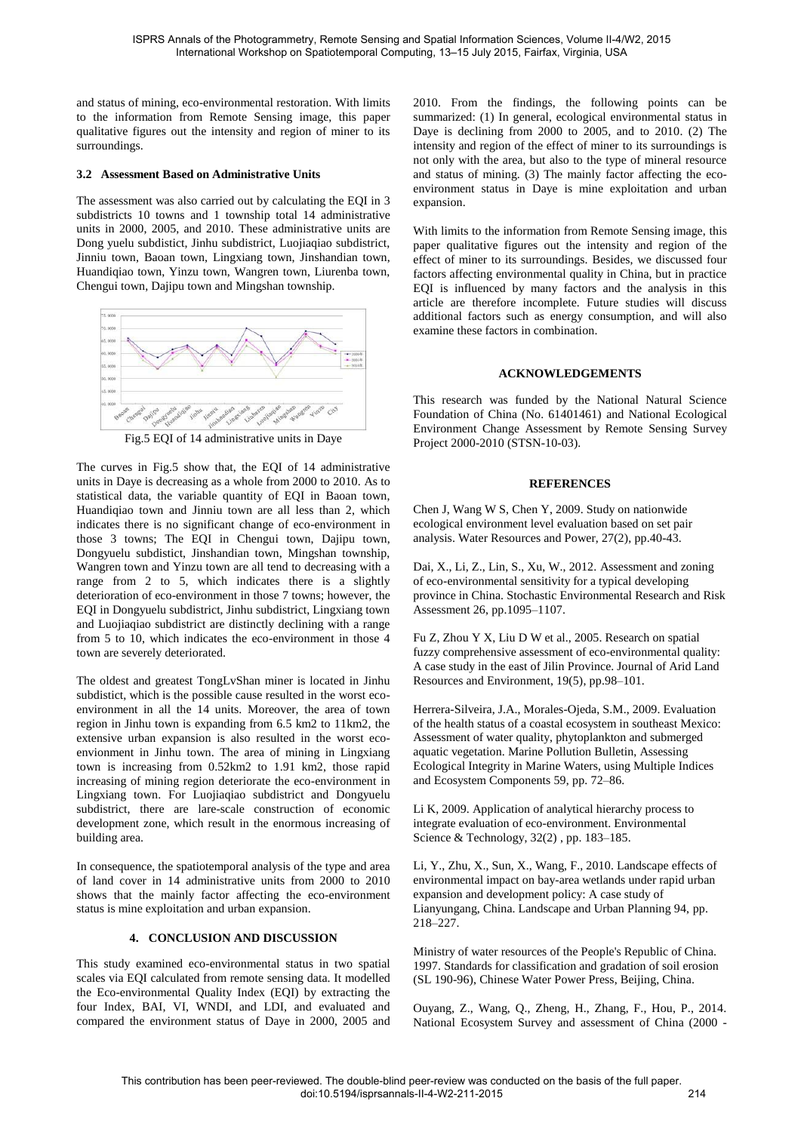and status of mining, eco-environmental restoration. With limits to the information from Remote Sensing image, this paper qualitative figures out the intensity and region of miner to its surroundings.

### **3.2 Assessment Based on Administrative Units**

The assessment was also carried out by calculating the EQI in 3 subdistricts 10 towns and 1 township total 14 administrative units in 2000, 2005, and 2010. These administrative units are Dong yuelu subdistict, Jinhu subdistrict, Luojiaqiao subdistrict, Jinniu town, Baoan town, Lingxiang town, Jinshandian town, Huandiqiao town, Yinzu town, Wangren town, Liurenba town, Chengui town, Dajipu town and Mingshan township.



Fig.5 EQI of 14 administrative units in Daye

The curves in Fig.5 show that, the EQI of 14 administrative units in Daye is decreasing as a whole from 2000 to 2010. As to statistical data, the variable quantity of EQI in Baoan town, Huandiqiao town and Jinniu town are all less than 2, which indicates there is no significant change of eco-environment in those 3 towns; The EQI in Chengui town, Dajipu town, Dongyuelu subdistict, Jinshandian town, Mingshan township, Wangren town and Yinzu town are all tend to decreasing with a range from 2 to 5, which indicates there is a slightly deterioration of eco-environment in those 7 towns; however, the EQI in Dongyuelu subdistrict, Jinhu subdistrict, Lingxiang town and Luojiaqiao subdistrict are distinctly declining with a range from 5 to 10, which indicates the eco-environment in those 4 town are severely deteriorated.

The oldest and greatest TongLvShan miner is located in Jinhu subdistict, which is the possible cause resulted in the worst ecoenvironment in all the 14 units. Moreover, the area of town region in Jinhu town is expanding from 6.5 km2 to 11km2, the extensive urban expansion is also resulted in the worst ecoenvionment in Jinhu town. The area of mining in Lingxiang town is increasing from 0.52km2 to 1.91 km2, those rapid increasing of mining region deteriorate the eco-environment in Lingxiang town. For Luojiaqiao subdistrict and Dongyuelu subdistrict, there are lare-scale construction of economic development zone, which result in the enormous increasing of building area.

In consequence, the spatiotemporal analysis of the type and area of land cover in 14 administrative units from 2000 to 2010 shows that the mainly factor affecting the eco-environment status is mine exploitation and urban expansion.

### **4. CONCLUSION AND DISCUSSION**

This study examined eco-environmental status in two spatial scales via EQI calculated from remote sensing data. It modelled the Eco-environmental Quality Index (EQI) by extracting the four Index, BAI, VI, WNDI, and LDI, and evaluated and compared the environment status of Daye in 2000, 2005 and 2010. From the findings, the following points can be summarized: (1) In general, ecological environmental status in Daye is declining from 2000 to 2005, and to 2010. (2) The intensity and region of the effect of miner to its surroundings is not only with the area, but also to the type of mineral resource and status of mining. (3) The mainly factor affecting the ecoenvironment status in Daye is mine exploitation and urban expansion.

With limits to the information from Remote Sensing image, this paper qualitative figures out the intensity and region of the effect of miner to its surroundings. Besides, we discussed four factors affecting environmental quality in China, but in practice EQI is influenced by many factors and the analysis in this article are therefore incomplete. Future studies will discuss additional factors such as energy consumption, and will also examine these factors in combination.

### **ACKNOWLEDGEMENTS**

This research was funded by the National Natural Science Foundation of China (No. 61401461) and National Ecological Environment Change Assessment by Remote Sensing Survey Project 2000-2010 (STSN-10-03).

### **REFERENCES**

Chen J, Wang W S, Chen Y, 2009. Study on nationwide ecological environment level evaluation based on set pair analysis. Water Resources and Power, 27(2), pp.40-43.

Dai, X., Li, Z., Lin, S., Xu, W., 2012. Assessment and zoning of eco-environmental sensitivity for a typical developing province in China. Stochastic Environmental Research and Risk Assessment 26, pp.1095–1107.

Fu Z, Zhou Y X, Liu D W et al., 2005. Research on spatial fuzzy comprehensive assessment of eco-environmental quality: A case study in the east of Jilin Province. Journal of Arid Land Resources and Environment, 19(5), pp.98–101.

Herrera-Silveira, J.A., Morales-Ojeda, S.M., 2009. Evaluation of the health status of a coastal ecosystem in southeast Mexico: Assessment of water quality, phytoplankton and submerged aquatic vegetation. Marine Pollution Bulletin, Assessing Ecological Integrity in Marine Waters, using Multiple Indices and Ecosystem Components 59, pp. 72–86.

Li K, 2009. Application of analytical hierarchy process to integrate evaluation of eco-environment. Environmental Science & Technology, 32(2) , pp. 183–185.

Li, Y., Zhu, X., Sun, X., Wang, F., 2010. Landscape effects of environmental impact on bay-area wetlands under rapid urban expansion and development policy: A case study of Lianyungang, China. Landscape and Urban Planning 94, pp. 218–227.

Ministry of water resources of the People's Republic of China. 1997. Standards for classification and gradation of soil erosion (SL 190-96), Chinese Water Power Press, Beijing, China.

Ouyang, Z., Wang, Q., Zheng, H., Zhang, F., Hou, P., 2014. National Ecosystem Survey and assessment of China (2000 -